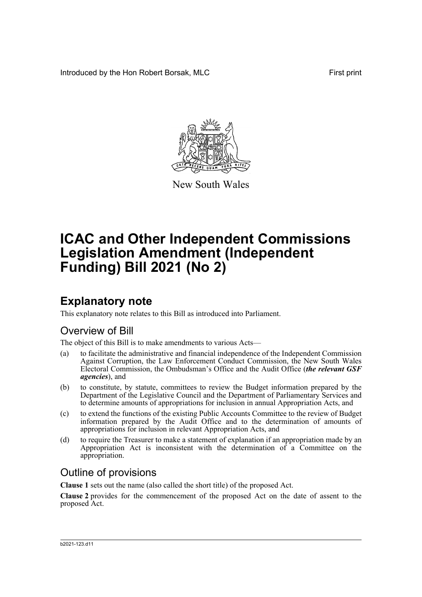Introduced by the Hon Robert Borsak, MLC **First print** 



New South Wales

# **ICAC and Other Independent Commissions Legislation Amendment (Independent Funding) Bill 2021 (No 2)**

# **Explanatory note**

This explanatory note relates to this Bill as introduced into Parliament.

### Overview of Bill

The object of this Bill is to make amendments to various Acts—

- (a) to facilitate the administrative and financial independence of the Independent Commission Against Corruption, the Law Enforcement Conduct Commission, the New South Wales Electoral Commission, the Ombudsman's Office and the Audit Office (*the relevant GSF agencies*), and
- (b) to constitute, by statute, committees to review the Budget information prepared by the Department of the Legislative Council and the Department of Parliamentary Services and to determine amounts of appropriations for inclusion in annual Appropriation Acts, and
- (c) to extend the functions of the existing Public Accounts Committee to the review of Budget information prepared by the Audit Office and to the determination of amounts of appropriations for inclusion in relevant Appropriation Acts, and
- (d) to require the Treasurer to make a statement of explanation if an appropriation made by an Appropriation Act is inconsistent with the determination of a Committee on the appropriation.

### Outline of provisions

**Clause 1** sets out the name (also called the short title) of the proposed Act.

**Clause 2** provides for the commencement of the proposed Act on the date of assent to the proposed Act.

#### b2021-123.d11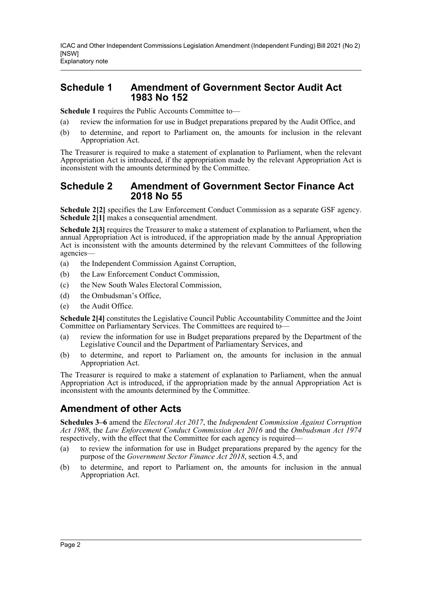### **Schedule 1 Amendment of Government Sector Audit Act 1983 No 152**

**Schedule 1** requires the Public Accounts Committee to—

- (a) review the information for use in Budget preparations prepared by the Audit Office, and
- (b) to determine, and report to Parliament on, the amounts for inclusion in the relevant Appropriation Act.

The Treasurer is required to make a statement of explanation to Parliament, when the relevant Appropriation Act is introduced, if the appropriation made by the relevant Appropriation Act is inconsistent with the amounts determined by the Committee.

### **Schedule 2 Amendment of Government Sector Finance Act 2018 No 55**

**Schedule 2[2]** specifies the Law Enforcement Conduct Commission as a separate GSF agency. **Schedule 2[1]** makes a consequential amendment.

**Schedule 2[3]** requires the Treasurer to make a statement of explanation to Parliament, when the annual Appropriation Act is introduced, if the appropriation made by the annual Appropriation Act is inconsistent with the amounts determined by the relevant Committees of the following agencies—

- (a) the Independent Commission Against Corruption,
- (b) the Law Enforcement Conduct Commission,
- (c) the New South Wales Electoral Commission,
- (d) the Ombudsman's Office,
- (e) the Audit Office.

**Schedule 2[4]** constitutes the Legislative Council Public Accountability Committee and the Joint Committee on Parliamentary Services. The Committees are required to—

- (a) review the information for use in Budget preparations prepared by the Department of the Legislative Council and the Department of Parliamentary Services, and
- (b) to determine, and report to Parliament on, the amounts for inclusion in the annual Appropriation Act.

The Treasurer is required to make a statement of explanation to Parliament, when the annual Appropriation Act is introduced, if the appropriation made by the annual Appropriation Act is inconsistent with the amounts determined by the Committee.

### **Amendment of other Acts**

**Schedules 3–6** amend the *Electoral Act 2017*, the *Independent Commission Against Corruption Act 1988*, the *Law Enforcement Conduct Commission Act 2016* and the *Ombudsman Act 1974* respectively, with the effect that the Committee for each agency is required—

- (a) to review the information for use in Budget preparations prepared by the agency for the purpose of the *Government Sector Finance Act 2018*, section 4.5, and
- (b) to determine, and report to Parliament on, the amounts for inclusion in the annual Appropriation Act.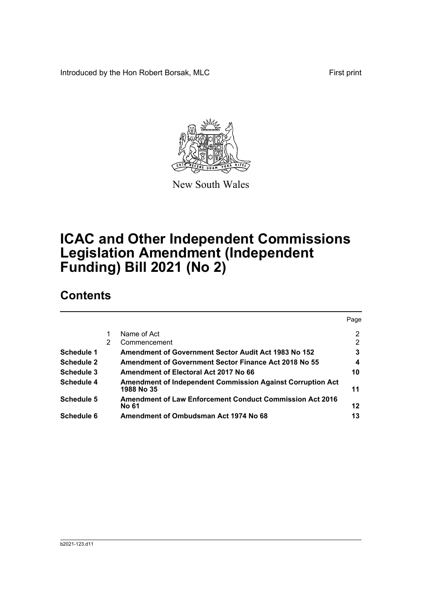Introduced by the Hon Robert Borsak, MLC First print



New South Wales

# **ICAC and Other Independent Commissions Legislation Amendment (Independent Funding) Bill 2021 (No 2)**

## **Contents**

|                   |   |                                                                                 | Page           |
|-------------------|---|---------------------------------------------------------------------------------|----------------|
|                   |   | Name of Act                                                                     | $\overline{2}$ |
|                   | 2 | Commencement                                                                    | 2              |
| Schedule 1        |   | Amendment of Government Sector Audit Act 1983 No 152                            | 3              |
| <b>Schedule 2</b> |   | <b>Amendment of Government Sector Finance Act 2018 No 55</b>                    | 4              |
| Schedule 3        |   | Amendment of Electoral Act 2017 No 66                                           | 10             |
| <b>Schedule 4</b> |   | <b>Amendment of Independent Commission Against Corruption Act</b><br>1988 No 35 | 11             |
| <b>Schedule 5</b> |   | <b>Amendment of Law Enforcement Conduct Commission Act 2016</b><br><b>No 61</b> | 12             |
| Schedule 6        |   | Amendment of Ombudsman Act 1974 No 68                                           | 13             |
|                   |   |                                                                                 |                |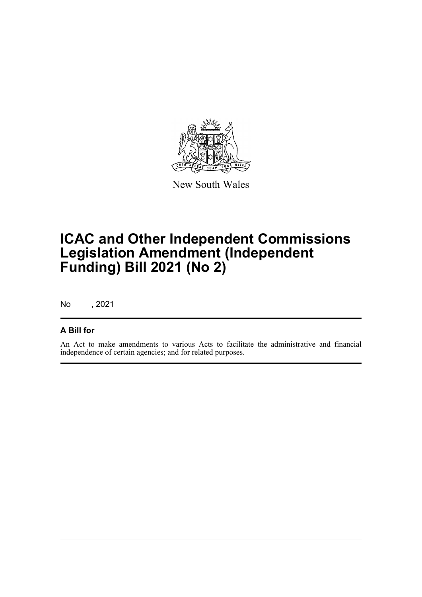

New South Wales

# **ICAC and Other Independent Commissions Legislation Amendment (Independent Funding) Bill 2021 (No 2)**

No , 2021

### **A Bill for**

An Act to make amendments to various Acts to facilitate the administrative and financial independence of certain agencies; and for related purposes.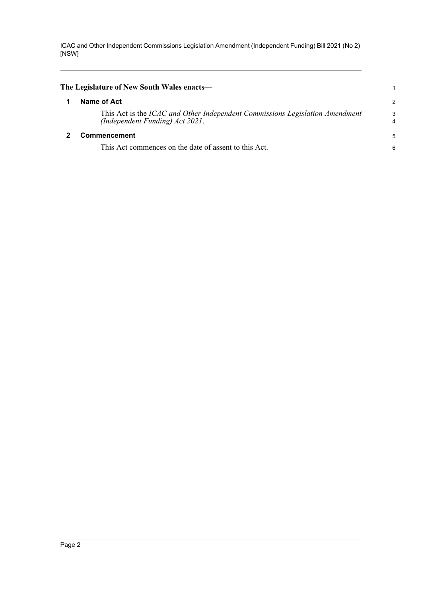<span id="page-4-1"></span><span id="page-4-0"></span>

| The Legislature of New South Wales enacts—                                                                      |               |
|-----------------------------------------------------------------------------------------------------------------|---------------|
| Name of Act                                                                                                     | $\mathcal{P}$ |
| This Act is the ICAC and Other Independent Commissions Legislation Amendment<br>(Independent Funding) Act 2021. | 3             |
| <b>Commencement</b>                                                                                             | 5             |
| This Act commences on the date of assent to this Act.                                                           | 6             |
|                                                                                                                 |               |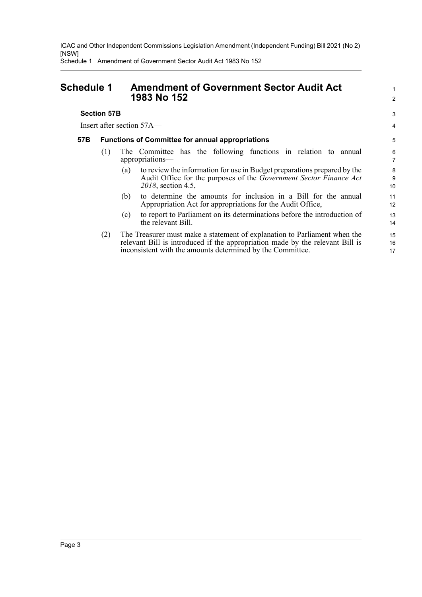Schedule 1 Amendment of Government Sector Audit Act 1983 No 152

**Section 57B** 

Insert after section 57A—

### <span id="page-5-0"></span>**Schedule 1 Amendment of Government Sector Audit Act 1983 No 152**

### **57B Functions of Committee for annual appropriations**

- (1) The Committee has the following functions in relation to annual appropriations—
	- (a) to review the information for use in Budget preparations prepared by the Audit Office for the purposes of the *Government Sector Finance Act 2018*, section 4.5,
	- (b) to determine the amounts for inclusion in a Bill for the annual Appropriation Act for appropriations for the Audit Office,
	- (c) to report to Parliament on its determinations before the introduction of the relevant Bill.
- (2) The Treasurer must make a statement of explanation to Parliament when the relevant Bill is introduced if the appropriation made by the relevant Bill is inconsistent with the amounts determined by the Committee. 15 16 17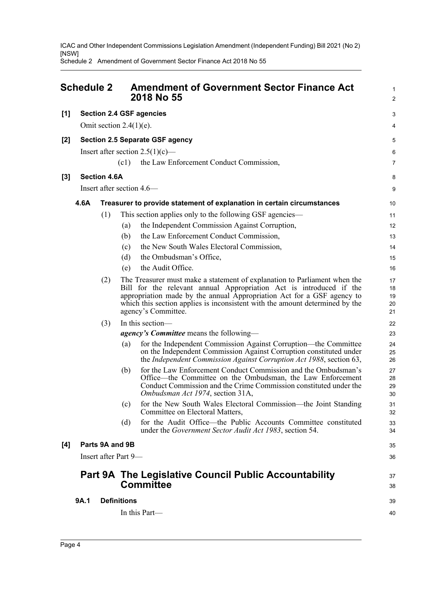Schedule 2 Amendment of Government Sector Finance Act 2018 No 55

<span id="page-6-0"></span>

|       | <b>Schedule 2</b> |                     | <b>Amendment of Government Sector Finance Act</b><br>2018 No 55                                                                                                                                                                                                                                                                   | 1<br>$\overline{2}$        |
|-------|-------------------|---------------------|-----------------------------------------------------------------------------------------------------------------------------------------------------------------------------------------------------------------------------------------------------------------------------------------------------------------------------------|----------------------------|
| $[1]$ |                   |                     | <b>Section 2.4 GSF agencies</b>                                                                                                                                                                                                                                                                                                   | 3                          |
|       |                   |                     | Omit section $2.4(1)(e)$ .                                                                                                                                                                                                                                                                                                        | 4                          |
| $[2]$ |                   |                     | <b>Section 2.5 Separate GSF agency</b>                                                                                                                                                                                                                                                                                            | 5                          |
|       |                   |                     | Insert after section $2.5(1)(c)$ —                                                                                                                                                                                                                                                                                                | 6                          |
|       |                   |                     | (c1)<br>the Law Enforcement Conduct Commission,                                                                                                                                                                                                                                                                                   | $\overline{7}$             |
| $[3]$ |                   | <b>Section 4.6A</b> |                                                                                                                                                                                                                                                                                                                                   | 8                          |
|       |                   |                     | Insert after section 4.6—                                                                                                                                                                                                                                                                                                         | 9                          |
|       | 4.6A              |                     | Treasurer to provide statement of explanation in certain circumstances                                                                                                                                                                                                                                                            | 10                         |
|       |                   | (1)                 | This section applies only to the following GSF agencies—                                                                                                                                                                                                                                                                          | 11                         |
|       |                   |                     | the Independent Commission Against Corruption,<br>(a)                                                                                                                                                                                                                                                                             | 12                         |
|       |                   |                     | the Law Enforcement Conduct Commission,<br>(b)                                                                                                                                                                                                                                                                                    | 13                         |
|       |                   |                     | the New South Wales Electoral Commission,<br>(c)                                                                                                                                                                                                                                                                                  | 14                         |
|       |                   |                     | (d)<br>the Ombudsman's Office,                                                                                                                                                                                                                                                                                                    | 15                         |
|       |                   |                     | the Audit Office.<br>(e)                                                                                                                                                                                                                                                                                                          | 16                         |
|       |                   | (2)                 | The Treasurer must make a statement of explanation to Parliament when the<br>Bill for the relevant annual Appropriation Act is introduced if the<br>appropriation made by the annual Appropriation Act for a GSF agency to<br>which this section applies is inconsistent with the amount determined by the<br>agency's Committee. | 17<br>18<br>19<br>20<br>21 |
|       |                   | (3)                 | In this section-                                                                                                                                                                                                                                                                                                                  | 22                         |
|       |                   |                     | <i>agency's Committee</i> means the following—                                                                                                                                                                                                                                                                                    | 23                         |
|       |                   |                     | for the Independent Commission Against Corruption—the Committee<br>(a)<br>on the Independent Commission Against Corruption constituted under<br>the Independent Commission Against Corruption Act 1988, section 63,                                                                                                               | 24<br>25<br>26             |
|       |                   |                     | for the Law Enforcement Conduct Commission and the Ombudsman's<br>(b)<br>Office—the Committee on the Ombudsman, the Law Enforcement<br>Conduct Commission and the Crime Commission constituted under the<br>Ombudsman Act 1974, section 31A,                                                                                      | 27<br>28<br>29<br>30       |
|       |                   |                     | for the New South Wales Electoral Commission—the Joint Standing<br>(c)<br>Committee on Electoral Matters,                                                                                                                                                                                                                         | 31<br>32                   |
|       |                   |                     | for the Audit Office—the Public Accounts Committee constituted<br>(d)<br>under the Government Sector Audit Act 1983, section 54.                                                                                                                                                                                                  | 33<br>34                   |
| [4]   |                   | Parts 9A and 9B     |                                                                                                                                                                                                                                                                                                                                   | 35                         |
|       |                   |                     | Insert after Part 9-                                                                                                                                                                                                                                                                                                              | 36                         |
|       |                   |                     | <b>Part 9A The Legislative Council Public Accountability</b>                                                                                                                                                                                                                                                                      | 37                         |
|       |                   |                     | <b>Committee</b>                                                                                                                                                                                                                                                                                                                  | 38                         |
|       | 9A.1              |                     | <b>Definitions</b>                                                                                                                                                                                                                                                                                                                | 39                         |
|       |                   |                     | In this Part—                                                                                                                                                                                                                                                                                                                     | 40                         |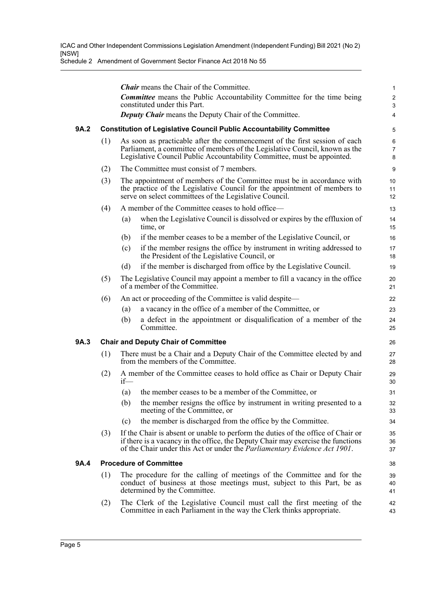Schedule 2 Amendment of Government Sector Finance Act 2018 No 55

|      |                               | <b>Chair</b> means the Chair of the Committee.                                                                                                                                                                                                            | $\mathbf{1}$                   |  |  |
|------|-------------------------------|-----------------------------------------------------------------------------------------------------------------------------------------------------------------------------------------------------------------------------------------------------------|--------------------------------|--|--|
|      |                               | <b>Committee</b> means the Public Accountability Committee for the time being<br>constituted under this Part.                                                                                                                                             | $\overline{2}$<br>$\mathbf{3}$ |  |  |
|      |                               | <b>Deputy Chair</b> means the Deputy Chair of the Committee.                                                                                                                                                                                              | 4                              |  |  |
| 9A.2 |                               | <b>Constitution of Legislative Council Public Accountability Committee</b>                                                                                                                                                                                | 5                              |  |  |
|      | (1)                           | As soon as practicable after the commencement of the first session of each<br>Parliament, a committee of members of the Legislative Council, known as the<br>Legislative Council Public Accountability Committee, must be appointed.                      | 6<br>$\overline{7}$<br>8       |  |  |
|      | (2)                           | The Committee must consist of 7 members.                                                                                                                                                                                                                  | 9                              |  |  |
|      | (3)                           | The appointment of members of the Committee must be in accordance with<br>the practice of the Legislative Council for the appointment of members to<br>serve on select committees of the Legislative Council.                                             | 10<br>11<br>12                 |  |  |
|      | (4)                           | A member of the Committee ceases to hold office—                                                                                                                                                                                                          | 13                             |  |  |
|      |                               | when the Legislative Council is dissolved or expires by the effluxion of<br>(a)<br>time, or                                                                                                                                                               | 14<br>15                       |  |  |
|      |                               | if the member ceases to be a member of the Legislative Council, or<br>(b)                                                                                                                                                                                 | 16                             |  |  |
|      |                               | if the member resigns the office by instrument in writing addressed to<br>(c)<br>the President of the Legislative Council, or                                                                                                                             | 17<br>18                       |  |  |
|      |                               | if the member is discharged from office by the Legislative Council.<br>(d)                                                                                                                                                                                | 19                             |  |  |
|      | (5)                           | The Legislative Council may appoint a member to fill a vacancy in the office<br>of a member of the Committee.                                                                                                                                             | 20<br>21                       |  |  |
|      | (6)                           | An act or proceeding of the Committee is valid despite—                                                                                                                                                                                                   | 22                             |  |  |
|      |                               | a vacancy in the office of a member of the Committee, or<br>(a)                                                                                                                                                                                           | 23                             |  |  |
|      |                               | a defect in the appointment or disqualification of a member of the<br>(b)<br>Committee.                                                                                                                                                                   | 24<br>25                       |  |  |
| 9A.3 |                               | <b>Chair and Deputy Chair of Committee</b>                                                                                                                                                                                                                | 26                             |  |  |
|      | (1)                           | There must be a Chair and a Deputy Chair of the Committee elected by and<br>from the members of the Committee.                                                                                                                                            | 27<br>28                       |  |  |
|      | (2)                           | A member of the Committee ceases to hold office as Chair or Deputy Chair<br>if                                                                                                                                                                            | 29<br>30                       |  |  |
|      |                               | the member ceases to be a member of the Committee, or<br>(a)                                                                                                                                                                                              | 31                             |  |  |
|      |                               | (b)<br>the member resigns the office by instrument in writing presented to a<br>meeting of the Committee, or                                                                                                                                              | 32<br>33                       |  |  |
|      |                               | the member is discharged from the office by the Committee.<br>(c)                                                                                                                                                                                         | 34                             |  |  |
|      | (3)                           | If the Chair is absent or unable to perform the duties of the office of Chair or<br>if there is a vacancy in the office, the Deputy Chair may exercise the functions<br>of the Chair under this Act or under the <i>Parliamentary Evidence Act 1901</i> . | 35<br>36<br>37                 |  |  |
| 9A.4 | <b>Procedure of Committee</b> |                                                                                                                                                                                                                                                           |                                |  |  |
|      | (1)                           | The procedure for the calling of meetings of the Committee and for the<br>conduct of business at those meetings must, subject to this Part, be as<br>determined by the Committee.                                                                         | 39<br>40<br>41                 |  |  |
|      | (2)                           | The Clerk of the Legislative Council must call the first meeting of the<br>Committee in each Parliament in the way the Clerk thinks appropriate.                                                                                                          | 42<br>43                       |  |  |
|      |                               |                                                                                                                                                                                                                                                           |                                |  |  |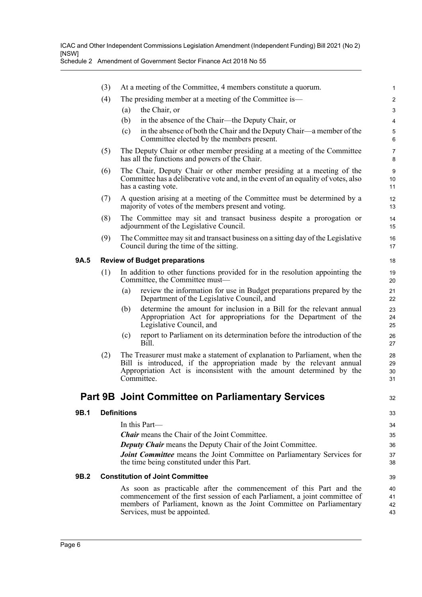|             | (3) | At a meeting of the Committee, 4 members constitute a quorum.                                                                                                                                                                                            | $\mathbf 1$                  |
|-------------|-----|----------------------------------------------------------------------------------------------------------------------------------------------------------------------------------------------------------------------------------------------------------|------------------------------|
|             | (4) | The presiding member at a meeting of the Committee is—                                                                                                                                                                                                   | $\boldsymbol{2}$             |
|             |     | the Chair, or<br>(a)                                                                                                                                                                                                                                     | $\mathbf{3}$                 |
|             |     | in the absence of the Chair—the Deputy Chair, or<br>(b)                                                                                                                                                                                                  | $\overline{\mathbf{4}}$      |
|             |     | in the absence of both the Chair and the Deputy Chair—a member of the<br>(c)<br>Committee elected by the members present.                                                                                                                                | 5<br>$6\phantom{1}6$         |
|             | (5) | The Deputy Chair or other member presiding at a meeting of the Committee<br>has all the functions and powers of the Chair.                                                                                                                               | $\overline{7}$<br>8          |
|             | (6) | The Chair, Deputy Chair or other member presiding at a meeting of the<br>Committee has a deliberative vote and, in the event of an equality of votes, also<br>has a casting vote.                                                                        | $\boldsymbol{9}$<br>10<br>11 |
|             | (7) | A question arising at a meeting of the Committee must be determined by a<br>majority of votes of the members present and voting.                                                                                                                         | 12<br>13                     |
|             | (8) | The Committee may sit and transact business despite a prorogation or<br>adjournment of the Legislative Council.                                                                                                                                          | 14<br>15                     |
|             | (9) | The Committee may sit and transact business on a sitting day of the Legislative<br>Council during the time of the sitting.                                                                                                                               | 16<br>17                     |
| <b>9A.5</b> |     | <b>Review of Budget preparations</b>                                                                                                                                                                                                                     | 18                           |
|             | (1) | In addition to other functions provided for in the resolution appointing the<br>Committee, the Committee must-                                                                                                                                           | 19<br>20                     |
|             |     | review the information for use in Budget preparations prepared by the<br>(a)<br>Department of the Legislative Council, and                                                                                                                               | 21<br>22                     |
|             |     | determine the amount for inclusion in a Bill for the relevant annual<br>(b)<br>Appropriation Act for appropriations for the Department of the<br>Legislative Council, and                                                                                | 23<br>24<br>25               |
|             |     | report to Parliament on its determination before the introduction of the<br>(c)<br>Bill.                                                                                                                                                                 | 26<br>27                     |
|             | (2) | The Treasurer must make a statement of explanation to Parliament, when the<br>Bill is introduced, if the appropriation made by the relevant annual<br>Appropriation Act is inconsistent with the amount determined by the<br>Committee.                  | 28<br>29<br>30<br>31         |
|             |     | Part 9B Joint Committee on Parliamentary Services                                                                                                                                                                                                        | 32                           |
| 9B.1        |     | <b>Definitions</b>                                                                                                                                                                                                                                       | 33                           |
|             |     | In this Part-                                                                                                                                                                                                                                            | 34                           |
|             |     | <b><i>Chair</i></b> means the Chair of the Joint Committee.                                                                                                                                                                                              | 35                           |
|             |     | Deputy Chair means the Deputy Chair of the Joint Committee.                                                                                                                                                                                              | 36                           |
|             |     | Joint Committee means the Joint Committee on Parliamentary Services for<br>the time being constituted under this Part.                                                                                                                                   | 37<br>38                     |
| 9B.2        |     | <b>Constitution of Joint Committee</b>                                                                                                                                                                                                                   | 39                           |
|             |     | As soon as practicable after the commencement of this Part and the<br>commencement of the first session of each Parliament, a joint committee of<br>members of Parliament, known as the Joint Committee on Parliamentary<br>Services, must be appointed. | 40<br>41<br>42<br>43         |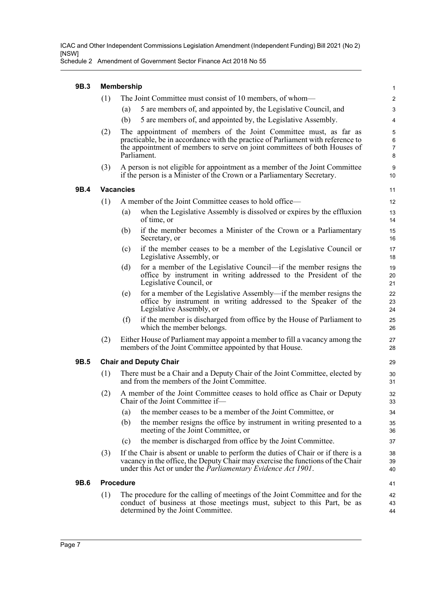Schedule 2 Amendment of Government Sector Finance Act 2018 No 55

| 9B.3 | <b>Membership</b> |                                                                                                                                                                                                                                                  | 1                       |
|------|-------------------|--------------------------------------------------------------------------------------------------------------------------------------------------------------------------------------------------------------------------------------------------|-------------------------|
|      | (1)               | The Joint Committee must consist of 10 members, of whom—                                                                                                                                                                                         | $\overline{\mathbf{c}}$ |
|      |                   | 5 are members of, and appointed by, the Legislative Council, and<br>(a)                                                                                                                                                                          | 3                       |
|      |                   | (b)<br>5 are members of, and appointed by, the Legislative Assembly.                                                                                                                                                                             | 4                       |
|      | (2)               | The appointment of members of the Joint Committee must, as far as<br>practicable, be in accordance with the practice of Parliament with reference to<br>the appointment of members to serve on joint committees of both Houses of<br>Parliament. | 5<br>6<br>7<br>8        |
|      | (3)               | A person is not eligible for appointment as a member of the Joint Committee<br>if the person is a Minister of the Crown or a Parliamentary Secretary.                                                                                            | 9<br>10                 |
| 9B.4 |                   | <b>Vacancies</b>                                                                                                                                                                                                                                 | 11                      |
|      | (1)               | A member of the Joint Committee ceases to hold office—                                                                                                                                                                                           | 12                      |
|      |                   | when the Legislative Assembly is dissolved or expires by the effluxion<br>(a)<br>of time, or                                                                                                                                                     | 13<br>14                |
|      |                   | if the member becomes a Minister of the Crown or a Parliamentary<br>(b)<br>Secretary, or                                                                                                                                                         | 15<br>16                |
|      |                   | if the member ceases to be a member of the Legislative Council or<br>(c)<br>Legislative Assembly, or                                                                                                                                             | 17<br>18                |
|      |                   | for a member of the Legislative Council—if the member resigns the<br>(d)<br>office by instrument in writing addressed to the President of the<br>Legislative Council, or                                                                         | 19<br>20<br>21          |
|      |                   | for a member of the Legislative Assembly—if the member resigns the<br>(e)<br>office by instrument in writing addressed to the Speaker of the<br>Legislative Assembly, or                                                                         | 22<br>23<br>24          |
|      |                   | if the member is discharged from office by the House of Parliament to<br>(f)<br>which the member belongs.                                                                                                                                        | 25<br>26                |
|      | (2)               | Either House of Parliament may appoint a member to fill a vacancy among the<br>members of the Joint Committee appointed by that House.                                                                                                           | 27<br>28                |
| 9B.5 |                   | <b>Chair and Deputy Chair</b>                                                                                                                                                                                                                    | 29                      |
|      | (1)               | There must be a Chair and a Deputy Chair of the Joint Committee, elected by<br>and from the members of the Joint Committee.                                                                                                                      | 30<br>31                |
|      | (2)               | A member of the Joint Committee ceases to hold office as Chair or Deputy<br>Chair of the Joint Committee if-                                                                                                                                     | 32<br>33                |
|      |                   | the member ceases to be a member of the Joint Committee, or<br>(a)                                                                                                                                                                               | 34                      |
|      |                   | the member resigns the office by instrument in writing presented to a<br>(b)<br>meeting of the Joint Committee, or                                                                                                                               | 35<br>36                |
|      |                   | the member is discharged from office by the Joint Committee.<br>(c)                                                                                                                                                                              | 37                      |
|      | (3)               | If the Chair is absent or unable to perform the duties of Chair or if there is a<br>vacancy in the office, the Deputy Chair may exercise the functions of the Chair<br>under this Act or under the <i>Parliamentary Evidence Act 1901</i> .      | 38<br>39<br>40          |
| 9B.6 |                   | <b>Procedure</b>                                                                                                                                                                                                                                 | 41                      |
|      | (1)               | The procedure for the calling of meetings of the Joint Committee and for the<br>conduct of business at those meetings must, subject to this Part, be as<br>determined by the Joint Committee.                                                    | 42<br>43<br>44          |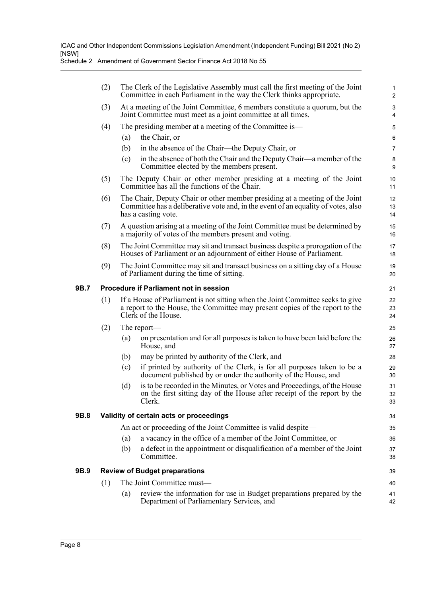|      | (2)                                           |     | The Clerk of the Legislative Assembly must call the first meeting of the Joint<br>Committee in each Parliament in the way the Clerk thinks appropriate.                                 | $\mathbf{1}$<br>$\overline{c}$ |  |
|------|-----------------------------------------------|-----|-----------------------------------------------------------------------------------------------------------------------------------------------------------------------------------------|--------------------------------|--|
|      | (3)                                           |     | At a meeting of the Joint Committee, 6 members constitute a quorum, but the<br>Joint Committee must meet as a joint committee at all times.                                             | 3<br>4                         |  |
|      | (4)                                           |     | The presiding member at a meeting of the Committee is—                                                                                                                                  | $\mathbf 5$                    |  |
|      |                                               | (a) | the Chair, or                                                                                                                                                                           | 6                              |  |
|      |                                               | (b) | in the absence of the Chair—the Deputy Chair, or                                                                                                                                        | $\overline{7}$                 |  |
|      |                                               | (c) | in the absence of both the Chair and the Deputy Chair—a member of the<br>Committee elected by the members present.                                                                      | 8<br>9                         |  |
|      | (5)                                           |     | The Deputy Chair or other member presiding at a meeting of the Joint<br>Committee has all the functions of the Chair.                                                                   | 10<br>11                       |  |
|      | (6)                                           |     | The Chair, Deputy Chair or other member presiding at a meeting of the Joint<br>Committee has a deliberative vote and, in the event of an equality of votes, also<br>has a casting vote. | 12<br>13<br>14                 |  |
|      | (7)                                           |     | A question arising at a meeting of the Joint Committee must be determined by<br>a majority of votes of the members present and voting.                                                  | 15<br>16                       |  |
|      | (8)                                           |     | The Joint Committee may sit and transact business despite a prorogation of the<br>Houses of Parliament or an adjournment of either House of Parliament.                                 | 17<br>18                       |  |
|      | (9)                                           |     | The Joint Committee may sit and transact business on a sitting day of a House<br>of Parliament during the time of sitting.                                                              | 19<br>20                       |  |
| 9B.7 | <b>Procedure if Parliament not in session</b> |     |                                                                                                                                                                                         |                                |  |
|      | (1)                                           |     | If a House of Parliament is not sitting when the Joint Committee seeks to give<br>a report to the House, the Committee may present copies of the report to the<br>Clerk of the House.   | 22<br>23<br>24                 |  |
|      | (2)                                           |     | The report—                                                                                                                                                                             | 25                             |  |
|      |                                               | (a) | on presentation and for all purposes is taken to have been laid before the<br>House, and                                                                                                | 26<br>27                       |  |
|      |                                               | (b) | may be printed by authority of the Clerk, and                                                                                                                                           | 28                             |  |
|      |                                               | (c) | if printed by authority of the Clerk, is for all purposes taken to be a<br>document published by or under the authority of the House, and                                               | 29<br>30                       |  |
|      |                                               | (d) | is to be recorded in the Minutes, or Votes and Proceedings, of the House<br>on the first sitting day of the House after receipt of the report by the<br>Clerk.                          | 31<br>32<br>33                 |  |
| 9B.8 |                                               |     | Validity of certain acts or proceedings                                                                                                                                                 | 34                             |  |
|      |                                               |     | An act or proceeding of the Joint Committee is valid despite—                                                                                                                           | 35                             |  |
|      |                                               | (a) | a vacancy in the office of a member of the Joint Committee, or                                                                                                                          | 36                             |  |
|      |                                               | (b) | a defect in the appointment or disqualification of a member of the Joint<br>Committee.                                                                                                  | 37<br>38                       |  |
| 9B.9 |                                               |     | <b>Review of Budget preparations</b>                                                                                                                                                    | 39                             |  |
|      | (1)                                           |     | The Joint Committee must-                                                                                                                                                               | 40                             |  |
|      |                                               | (a) | review the information for use in Budget preparations prepared by the<br>Department of Parliamentary Services, and                                                                      | 41<br>42                       |  |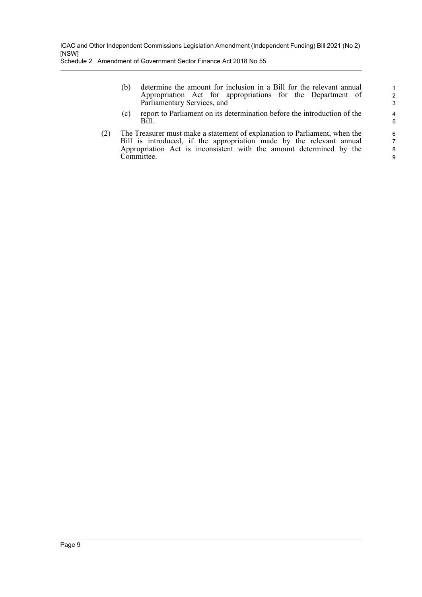(b) determine the amount for inclusion in a Bill for the relevant annual Appropriation Act for appropriations for the Department of Parliamentary Services, and

(c) report to Parliament on its determination before the introduction of the Bill.

(2) The Treasurer must make a statement of explanation to Parliament, when the Bill is introduced, if the appropriation made by the relevant annual Appropriation Act is inconsistent with the amount determined by the Committee.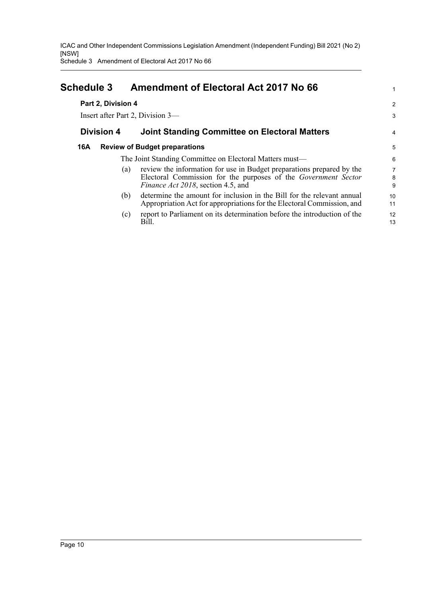Schedule 3 Amendment of Electoral Act 2017 No 66

<span id="page-12-0"></span>

| <b>Schedule 3</b>  | <b>Amendment of Electoral Act 2017 No 66</b>                                                                                                                                                 |                |
|--------------------|----------------------------------------------------------------------------------------------------------------------------------------------------------------------------------------------|----------------|
| Part 2, Division 4 |                                                                                                                                                                                              | $\overline{a}$ |
|                    | Insert after Part 2, Division 3-                                                                                                                                                             | 3              |
| <b>Division 4</b>  | <b>Joint Standing Committee on Electoral Matters</b>                                                                                                                                         | 4              |
| 16A                | <b>Review of Budget preparations</b>                                                                                                                                                         | 5              |
|                    | The Joint Standing Committee on Electoral Matters must-                                                                                                                                      | 6              |
|                    | review the information for use in Budget preparations prepared by the<br>(a)<br>Electoral Commission for the purposes of the Government Sector<br><i>Finance Act 2018</i> , section 4.5, and | 7<br>8<br>9    |
|                    | determine the amount for inclusion in the Bill for the relevant annual<br>(b)<br>Appropriation Act for appropriations for the Electoral Commission, and                                      | 10<br>11       |
|                    | report to Parliament on its determination before the introduction of the<br>(c)<br>Bill.                                                                                                     | 12<br>13       |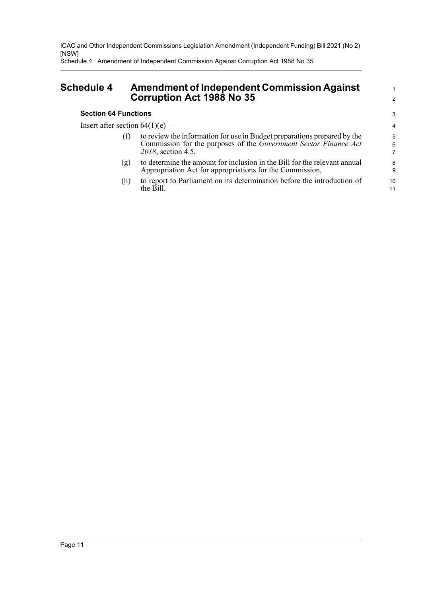Schedule 4 Amendment of Independent Commission Against Corruption Act 1988 No 35

### <span id="page-13-0"></span>**Schedule 4 Amendment of Independent Commission Against Corruption Act 1988 No 35**

#### **Section 64 Functions**

Insert after section  $64(1)(e)$ —

- (f) to review the information for use in Budget preparations prepared by the Commission for the purposes of the *Government Sector Finance Act 2018*, section 4.5,
- (g) to determine the amount for inclusion in the Bill for the relevant annual Appropriation Act for appropriations for the Commission,
- (h) to report to Parliament on its determination before the introduction of the Bill.

1 2

3

10 11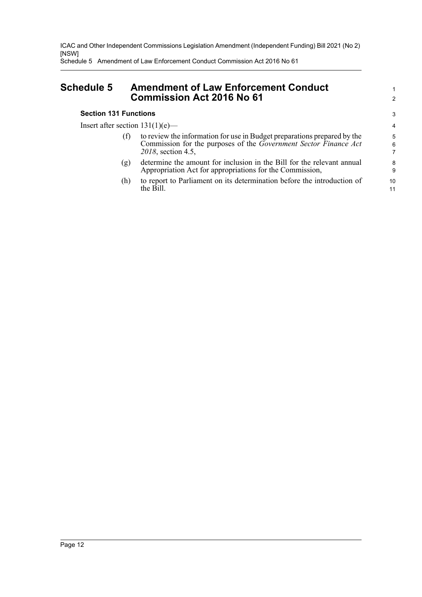Schedule 5 Amendment of Law Enforcement Conduct Commission Act 2016 No 61

### <span id="page-14-0"></span>**Schedule 5 Amendment of Law Enforcement Conduct Commission Act 2016 No 61**

#### **Section 131 Functions**

Insert after section  $131(1)(e)$ —

- (f) to review the information for use in Budget preparations prepared by the Commission for the purposes of the *Government Sector Finance Act 2018*, section 4.5,
- (g) determine the amount for inclusion in the Bill for the relevant annual Appropriation Act for appropriations for the Commission,
- (h) to report to Parliament on its determination before the introduction of the Bill.

> 10 11

1 2

3